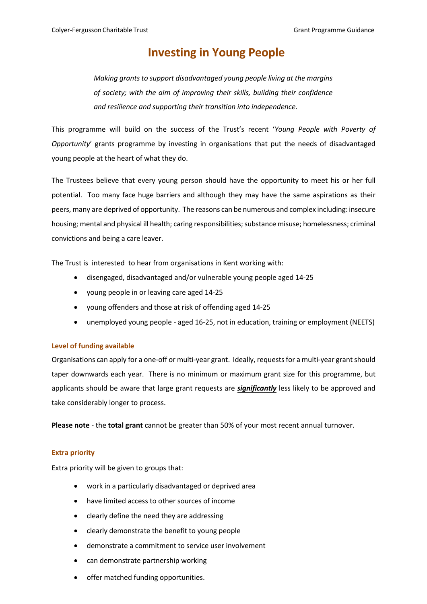# **Investing in Young People**

*Making grants to support disadvantaged young people living at the margins of society; with the aim of improving their skills, building their confidence and resilience and supporting their transition into independence.*

This programme will build on the success of the Trust's recent '*Young People with Poverty of Opportunity*' grants programme by investing in organisations that put the needs of disadvantaged young people at the heart of what they do.

The Trustees believe that every young person should have the opportunity to meet his or her full potential. Too many face huge barriers and although they may have the same aspirations as their peers, many are deprived of opportunity. The reasons can be numerous and complex including: insecure housing; mental and physical ill health; caring responsibilities; substance misuse; homelessness; criminal convictions and being a care leaver.

The Trust is interested to hear from organisations in Kent working with:

- disengaged, disadvantaged and/or vulnerable young people aged 14-25
- young people in or leaving care aged 14-25
- young offenders and those at risk of offending aged 14-25
- unemployed young people aged 16-25, not in education, training or employment (NEETS)

### **Level of funding available**

Organisations can apply for a one-off or multi-year grant. Ideally, requests for a multi-year grantshould taper downwards each year. There is no minimum or maximum grant size for this programme, but applicants should be aware that large grant requests are *significantly* less likely to be approved and take considerably longer to process.

**Please note** - the **total grant** cannot be greater than 50% of your most recent annual turnover.

### **Extra priority**

Extra priority will be given to groups that:

- work in a particularly disadvantaged or deprived area
- have limited access to other sources of income
- clearly define the need they are addressing
- clearly demonstrate the benefit to young people
- demonstrate a commitment to service user involvement
- can demonstrate partnership working
- offer matched funding opportunities.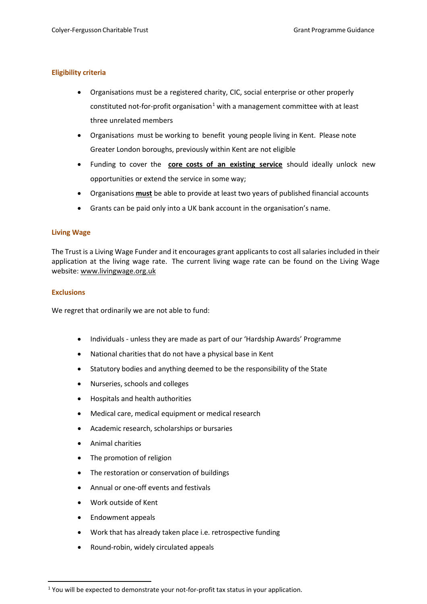## **Eligibility criteria**

- Organisations must be a registered charity, CIC, social enterprise or other properly constituted not-for-profit organisation<sup>[1](#page-1-0)</sup> with a management committee with at least three unrelated members
- Organisations must be working to benefit young people living in Kent. Please note Greater London boroughs, previously within Kent are not eligible
- Funding to cover the **core costs of an existing service** should ideally unlock new opportunities or extend the service in some way;
- Organisations **must** be able to provide at least two years of published financial accounts
- Grants can be paid only into a UK bank account in the organisation's name.

## **Living Wage**

The Trust is a Living Wage Funder and it encourages grant applicants to cost all salaries included in their application at the living wage rate. The current living wage rate can be found [on](https://www.livingwage.org.uk/what-real-living-wage) the Living Wage website: www.livingwage.org.uk

## **Exclusions**

We regret that ordinarily we are not able to fund:

- Individuals unless they are made as part of our 'Hardship Awards' Programme
- National charities that do not have a physical base in Kent
- Statutory bodies and anything deemed to be the responsibility of the State
- Nurseries, schools and colleges
- Hospitals and health authorities
- Medical care, medical equipment or medical research
- Academic research, scholarships or bursaries
- Animal charities
- The promotion of religion
- The restoration or conservation of buildings
- Annual or one-off events and festivals
- Work outside of Kent
- Endowment appeals
- Work that has already taken place i.e. retrospective funding
- Round-robin, widely circulated appeals

<span id="page-1-0"></span><sup>&</sup>lt;sup>1</sup> You will be expected to demonstrate your not-for-profit tax status in your application.